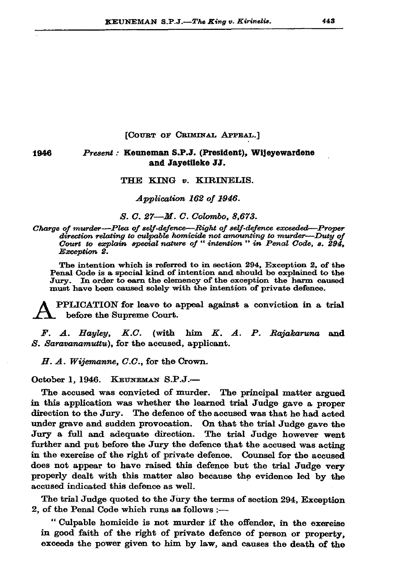## [COURT OF CRIMINAL APPEAL.]

## Present: Keuneman S.P.J. (President), Wijeyewardene and Javetileke JJ.

## THE KING v. KIRINELIS.

Application 162 of 1946.

S. C. 27-M. C. Colombo, 8,673.

Charge of murder-Plea of self-defence-Right of self-defence exceeded-Proper direction relating to culpable homicide not amounting to murder—Duty of Court to explain special nature of "intention " in Penal Code, s. 294, Exception 2.

The intention which is referred to in section 294, Exception 2, of the Penal Code is a special kind of intention and should be explained to the Jury. In order to earn the clemency of the exception the harm caused must have been caused solely with the intention of private defence.

PPLICATION for leave to appeal against a conviction in a trial before the Supreme Court.

 $F.$   $A.$  Hayley, K.C. (with him K. A. P. Rajakaruna and S. Saravanamuttu), for the accused, applicant.

H. A. Wijemanne, C.C., for the Crown.

October 1, 1946. KEUNEMAN S.P.J.-

1946

The accused was convicted of murder. The principal matter argued in this application was whether the learned trial Judge gave a proper direction to the Jury. The defence of the accused was that he had acted under grave and sudden provocation. On that the trial Judge gave the Jury a full and adequate direction. The trial Judge however went further and put before the Jury the defence that the accused was acting in the exercise of the right of private defence. Counsel for the accused does not appear to have raised this defence but the trial Judge very properly dealt with this matter also because the evidence led by the accused indicated this defence as well.

The trial Judge quoted to the Jury the terms of section 294, Exception 2, of the Penal Code which runs as follows :-

"Culpable homicide is not murder if the offender, in the exercise in good faith of the right of private defence of person or property. exceeds the power given to him by law, and causes the death of the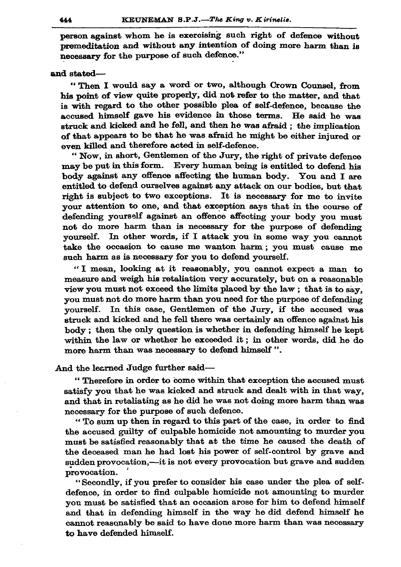person against whom he is exercising such right of defence without premeditation and without any intention of doing more harm than is necessary for the purpose of such defence."

## and stated-

"Then I would say a word or two, although Crown Counsel, from his point of view quite properly, did not refer to the matter, and that is with regard to the other possible plea of self-defence, because the accused himself gave his evidence in those terms. He said he was struck and kicked and he fell, and then he was afraid : the implication of that appears to be that he was afraid he might be either injured or even killed and therefore acted in self-defence.

"Now, in short, Gentlemen of the Jury, the right of private defence may be put in this form. Every human being is entitled to defend his body against any offence affecting the human body. You and I are entitled to defend ourselves against any attack on our bodies, but that right is subject to two exceptions. It is necessary for me to invite your attention to one, and that exception says that in the course of defending yourself against an offence affecting your body you must not do more harm than is necessary for the purpose of defending yourself. In other words, if I attack you in some way you cannot take the occasion to cause me wanton harm; you must cause me such harm as is necessary for you to defend yourself.

"I mean, looking at it reasonably, you cannot expect a man to measure and weigh his retaliation very accurately, but on a reasonable view you must not exceed the limits placed by the law; that is to say, you must not do more harm than you need for the purpose of defending yourself. In this case, Gentlemen of the Jury, if the accused was struck and kicked and he fell there was certainly an offence against his body; then the only question is whether in defending himself he kept within the law or whether he exceeded it; in other words, did he do more harm than was necessary to defend himself".

And the learned Judge further said-

"Therefore in order to come within that exception the accused must satisfy you that he was kicked and struck and dealt with in that way. and that in retaliating as he did he was not doing more harm than was necessary for the purpose of such defence.

"To sum up then in regard to this part of the case, in order to find the accused guilty of culpable homicide not amounting to murder you must be satisfied reasonably that at the time he caused the death of the deceased man he had lost his power of self-control by grave and sudden provocation,—it is not every provocation but grave and sudden provocation.

"Secondly, if you prefer to consider his case under the plea of selfdefence, in order to find culpable homicide not amounting to murder you must be satisfied that an occasion arose for him to defend himself and that in defending himself in the way he did defend himself he cannot reasonably be said to have done more harm than was necessary to have defended himself.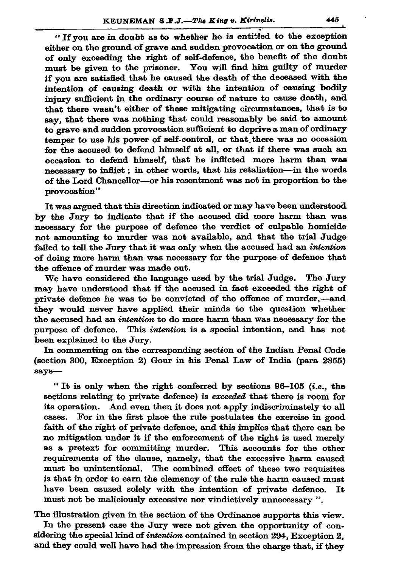"If you are in doubt as to whether he is entitled to the exception either on the ground of grave and sudden provocation or on the ground of only exceeding the right of self-defence, the benefit of the doubt must be given to the prisoner. You will find him guilty of murder if you are satisfied that he caused the death of the deceased with the intention of causing death or with the intention of causing bodily injury sufficient in the ordinary course of nature to cause death, and that there wasn't either of these mitigating circumstances, that is to say, that there was nothing that could reasonably be said to amount to grave and sudden provocation sufficient to deprive a man of ordinary temper to use his power of self-control, or that there was no occasion for the accused to defend himself at all, or that if there was such an occasion to defend himself, that he inflicted more harm than was necessary to inflict; in other words, that his retaliation-in the words of the Lord Chancellor-or his resentment was not in proportion to the provocation"

It was argued that this direction indicated or may have been understood by the Jury to indicate that if the accused did more harm than was necessary for the purpose of defence the verdict of culpable homicide not amounting to murder was not available, and that the trial Judge failed to tell the Jury that it was only when the accused had an intention of doing more harm than was necessary for the purpose of defence that the offence of murder was made out.

We have considered the language used by the trial Judge. The Jury may have understood that if the accused in fact exceeded the right of private defence he was to be convicted of the offence of murder,-and they would never have applied their minds to the question whether the accused had an intention to do more harm than was necessary for the purpose of defence. This intention is a special intention, and has not been explained to the Jury.

In commenting on the corresponding section of the Indian Penal Code (section 300, Exception 2) Gour in his Penal Law of India (para 2855) says-

"It is only when the right conferred by sections  $96-105$  (*i.e.*, the sections relating to private defence) is exceeded that there is room for its operation. And even then it does not apply indiscriminately to all cases. For in the first place the rule postulates the exercise in good faith of the right of private defence, and this implies that there can be no mitigation under it if the enforcement of the right is used merely as a pretext for committing murder. This accounts for the other requirements of the clause, namely, that the excessive harm caused must be unintentional. The combined effect of these two requisites is that in order to earn the clemency of the rule the harm caused must have been caused solely with the intention of private defence. It must not be maliciously excessive nor vindictively unnecessary ".

The illustration given in the section of the Ordinance supports this view. In the present case the Jury were not given the opportunity of considering the special kind of *intention* contained in section 294, Exception 2, and they could well have had the impression from the charge that, if they